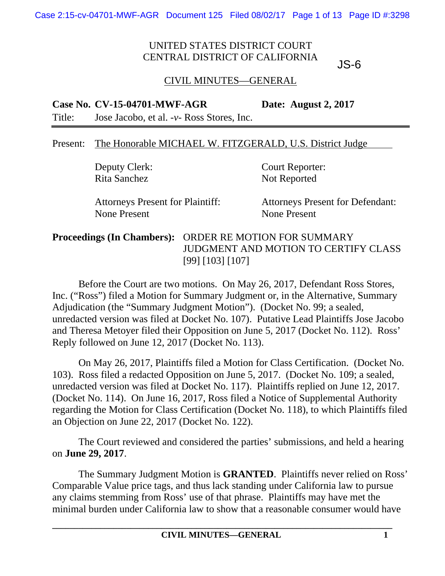JS-6

### CIVIL MINUTES—GENERAL

#### **Case No. CV-15-04701-MWF-AGR Date: August 2, 2017**

Title: Jose Jacobo, et al. -*v*- Ross Stores, Inc.

#### Present: The Honorable MICHAEL W. FITZGERALD, U.S. District Judge

Rita Sanchez Not Reported

Deputy Clerk: Court Reporter:

None Present None Present

Attorneys Present for Plaintiff: Attorneys Present for Defendant:

**Proceedings (In Chambers):** ORDER RE MOTION FOR SUMMARY JUDGMENT AND MOTION TO CERTIFY CLASS [99] [103] [107]

Before the Court are two motions. On May 26, 2017, Defendant Ross Stores, Inc. ("Ross") filed a Motion for Summary Judgment or, in the Alternative, Summary Adjudication (the "Summary Judgment Motion"). (Docket No. 99; a sealed, unredacted version was filed at Docket No. 107). Putative Lead Plaintiffs Jose Jacobo and Theresa Metoyer filed their Opposition on June 5, 2017 (Docket No. 112). Ross' Reply followed on June 12, 2017 (Docket No. 113).

On May 26, 2017, Plaintiffs filed a Motion for Class Certification. (Docket No. 103). Ross filed a redacted Opposition on June 5, 2017. (Docket No. 109; a sealed, unredacted version was filed at Docket No. 117). Plaintiffs replied on June 12, 2017. (Docket No. 114). On June 16, 2017, Ross filed a Notice of Supplemental Authority regarding the Motion for Class Certification (Docket No. 118), to which Plaintiffs filed an Objection on June 22, 2017 (Docket No. 122).

The Court reviewed and considered the parties' submissions, and held a hearing on **June 29, 2017**.

The Summary Judgment Motion is **GRANTED**. Plaintiffs never relied on Ross' Comparable Value price tags, and thus lack standing under California law to pursue any claims stemming from Ross' use of that phrase. Plaintiffs may have met the minimal burden under California law to show that a reasonable consumer would have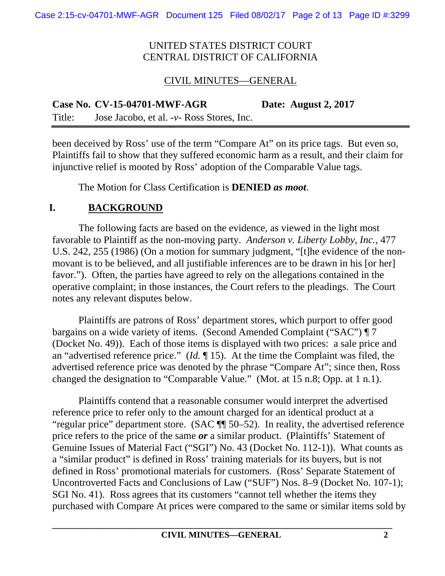### CIVIL MINUTES—GENERAL

**Case No. CV-15-04701-MWF-AGR Date: August 2, 2017**  Title: Jose Jacobo, et al. -*v*- Ross Stores, Inc.

been deceived by Ross' use of the term "Compare At" on its price tags. But even so, Plaintiffs fail to show that they suffered economic harm as a result, and their claim for injunctive relief is mooted by Ross' adoption of the Comparable Value tags.

The Motion for Class Certification is **DENIED** *as moot*.

# **I. BACKGROUND**

The following facts are based on the evidence, as viewed in the light most favorable to Plaintiff as the non-moving party. *Anderson v. Liberty Lobby, Inc.*, 477 U.S. 242, 255 (1986) (On a motion for summary judgment, "[t]he evidence of the nonmovant is to be believed, and all justifiable inferences are to be drawn in his [or her] favor."). Often, the parties have agreed to rely on the allegations contained in the operative complaint; in those instances, the Court refers to the pleadings. The Court notes any relevant disputes below.

Plaintiffs are patrons of Ross' department stores, which purport to offer good bargains on a wide variety of items. (Second Amended Complaint ("SAC") ¶ 7 (Docket No. 49)). Each of those items is displayed with two prices: a sale price and an "advertised reference price." (*Id.* ¶ 15). At the time the Complaint was filed, the advertised reference price was denoted by the phrase "Compare At"; since then, Ross changed the designation to "Comparable Value." (Mot. at 15 n.8; Opp. at 1 n.1).

Plaintiffs contend that a reasonable consumer would interpret the advertised reference price to refer only to the amount charged for an identical product at a "regular price" department store. (SAC ¶¶ 50–52). In reality, the advertised reference price refers to the price of the same *or* a similar product. (Plaintiffs' Statement of Genuine Issues of Material Fact ("SGI") No. 43 (Docket No. 112-1)). What counts as a "similar product" is defined in Ross' training materials for its buyers, but is not defined in Ross' promotional materials for customers. (Ross' Separate Statement of Uncontroverted Facts and Conclusions of Law ("SUF") Nos. 8–9 (Docket No. 107-1); SGI No. 41). Ross agrees that its customers "cannot tell whether the items they purchased with Compare At prices were compared to the same or similar items sold by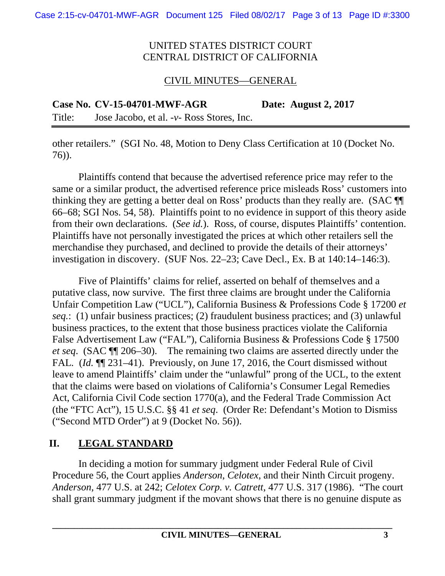# CIVIL MINUTES—GENERAL

**Case No. CV-15-04701-MWF-AGR Date: August 2, 2017** 

Title: Jose Jacobo, et al. -*v*- Ross Stores, Inc.

other retailers." (SGI No. 48, Motion to Deny Class Certification at 10 (Docket No. 76)).

Plaintiffs contend that because the advertised reference price may refer to the same or a similar product, the advertised reference price misleads Ross' customers into thinking they are getting a better deal on Ross' products than they really are. (SAC ¶¶ 66–68; SGI Nos. 54, 58). Plaintiffs point to no evidence in support of this theory aside from their own declarations. (*See id.*). Ross, of course, disputes Plaintiffs' contention. Plaintiffs have not personally investigated the prices at which other retailers sell the merchandise they purchased, and declined to provide the details of their attorneys' investigation in discovery. (SUF Nos. 22–23; Cave Decl., Ex. B at 140:14–146:3).

Five of Plaintiffs' claims for relief, asserted on behalf of themselves and a putative class, now survive. The first three claims are brought under the California Unfair Competition Law ("UCL"), California Business & Professions Code § 17200 *et seq.*: (1) unfair business practices; (2) fraudulent business practices; and (3) unlawful business practices, to the extent that those business practices violate the California False Advertisement Law ("FAL"), California Business & Professions Code § 17500 *et seq*. (SAC ¶¶ 206–30). The remaining two claims are asserted directly under the FAL*.* (*Id.* ¶¶ 231–41). Previously, on June 17, 2016, the Court dismissed without leave to amend Plaintiffs' claim under the "unlawful" prong of the UCL, to the extent that the claims were based on violations of California's Consumer Legal Remedies Act, California Civil Code section 1770(a), and the Federal Trade Commission Act (the "FTC Act"), 15 U.S.C. §§ 41 *et seq*. (Order Re: Defendant's Motion to Dismiss ("Second MTD Order") at 9 (Docket No. 56)).

# **II. LEGAL STANDARD**

In deciding a motion for summary judgment under Federal Rule of Civil Procedure 56, the Court applies *Anderson*, *Celotex*, and their Ninth Circuit progeny. *Anderson*, 477 U.S. at 242; *Celotex Corp. v. Catrett*, 477 U.S. 317 (1986). "The court shall grant summary judgment if the movant shows that there is no genuine dispute as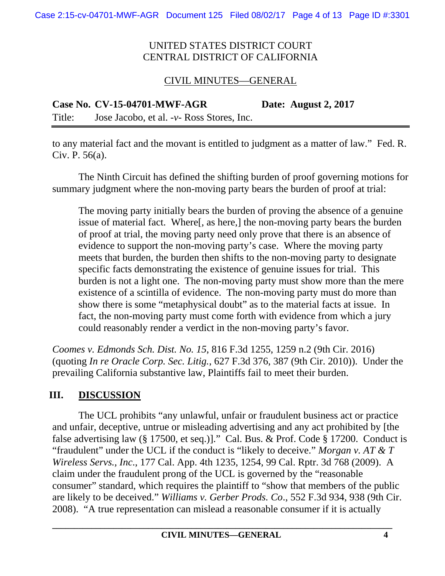# CIVIL MINUTES—GENERAL

**Case No. CV-15-04701-MWF-AGR Date: August 2, 2017** 

Title: Jose Jacobo, et al. -*v*- Ross Stores, Inc.

to any material fact and the movant is entitled to judgment as a matter of law." Fed. R. Civ. P. 56(a).

The Ninth Circuit has defined the shifting burden of proof governing motions for summary judgment where the non-moving party bears the burden of proof at trial:

The moving party initially bears the burden of proving the absence of a genuine issue of material fact. Where[, as here,] the non-moving party bears the burden of proof at trial, the moving party need only prove that there is an absence of evidence to support the non-moving party's case. Where the moving party meets that burden, the burden then shifts to the non-moving party to designate specific facts demonstrating the existence of genuine issues for trial. This burden is not a light one. The non-moving party must show more than the mere existence of a scintilla of evidence. The non-moving party must do more than show there is some "metaphysical doubt" as to the material facts at issue. In fact, the non-moving party must come forth with evidence from which a jury could reasonably render a verdict in the non-moving party's favor.

*Coomes v. Edmonds Sch. Dist. No. 15*, 816 F.3d 1255, 1259 n.2 (9th Cir. 2016) (quoting *In re Oracle Corp. Sec. Litig.*, 627 F.3d 376, 387 (9th Cir. 2010)). Under the prevailing California substantive law, Plaintiffs fail to meet their burden.

# **III. DISCUSSION**

The UCL prohibits "any unlawful, unfair or fraudulent business act or practice and unfair, deceptive, untrue or misleading advertising and any act prohibited by [the false advertising law (§ 17500, et seq.)]." Cal. Bus. & Prof. Code § 17200. Conduct is "fraudulent" under the UCL if the conduct is "likely to deceive." *Morgan v. AT & T Wireless Servs., Inc*., 177 Cal. App. 4th 1235, 1254, 99 Cal. Rptr. 3d 768 (2009). A claim under the fraudulent prong of the UCL is governed by the "reasonable consumer" standard, which requires the plaintiff to "show that members of the public are likely to be deceived." *Williams v. Gerber Prods. Co*., 552 F.3d 934, 938 (9th Cir. 2008). "A true representation can mislead a reasonable consumer if it is actually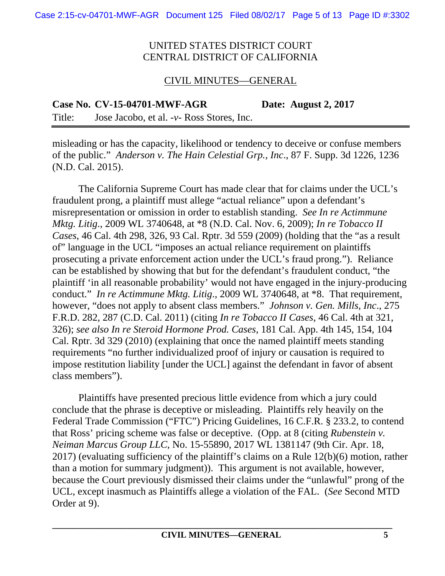### CIVIL MINUTES—GENERAL

**Case No. CV-15-04701-MWF-AGR Date: August 2, 2017** 

Title: Jose Jacobo, et al. -*v*- Ross Stores, Inc.

misleading or has the capacity, likelihood or tendency to deceive or confuse members of the public." *Anderson v. The Hain Celestial Grp., Inc*., 87 F. Supp. 3d 1226, 1236 (N.D. Cal. 2015).

The California Supreme Court has made clear that for claims under the UCL's fraudulent prong, a plaintiff must allege "actual reliance" upon a defendant's misrepresentation or omission in order to establish standing. *See In re Actimmune Mktg. Litig*., 2009 WL 3740648, at \*8 (N.D. Cal. Nov. 6, 2009); *In re Tobacco II Cases*, 46 Cal. 4th 298, 326, 93 Cal. Rptr. 3d 559 (2009) (holding that the "as a result of" language in the UCL "imposes an actual reliance requirement on plaintiffs prosecuting a private enforcement action under the UCL's fraud prong."). Reliance can be established by showing that but for the defendant's fraudulent conduct, "the plaintiff 'in all reasonable probability' would not have engaged in the injury-producing conduct." *In re Actimmune Mktg. Litig*., 2009 WL 3740648, at \*8. That requirement, however, "does not apply to absent class members." *Johnson v. Gen. Mills, Inc*., 275 F.R.D. 282, 287 (C.D. Cal. 2011) (citing *In re Tobacco II Cases*, 46 Cal. 4th at 321, 326); *see also In re Steroid Hormone Prod. Cases*, 181 Cal. App. 4th 145, 154, 104 Cal. Rptr. 3d 329 (2010) (explaining that once the named plaintiff meets standing requirements "no further individualized proof of injury or causation is required to impose restitution liability [under the UCL] against the defendant in favor of absent class members").

Plaintiffs have presented precious little evidence from which a jury could conclude that the phrase is deceptive or misleading. Plaintiffs rely heavily on the Federal Trade Commission ("FTC") Pricing Guidelines, 16 C.F.R. § 233.2, to contend that Ross' pricing scheme was false or deceptive. (Opp. at 8 (citing *Rubenstein v. Neiman Marcus Group LLC*, No. 15-55890, 2017 WL 1381147 (9th Cir. Apr. 18, 2017) (evaluating sufficiency of the plaintiff's claims on a Rule 12(b)(6) motion, rather than a motion for summary judgment)). This argument is not available, however, because the Court previously dismissed their claims under the "unlawful" prong of the UCL, except inasmuch as Plaintiffs allege a violation of the FAL. (*See* Second MTD Order at 9).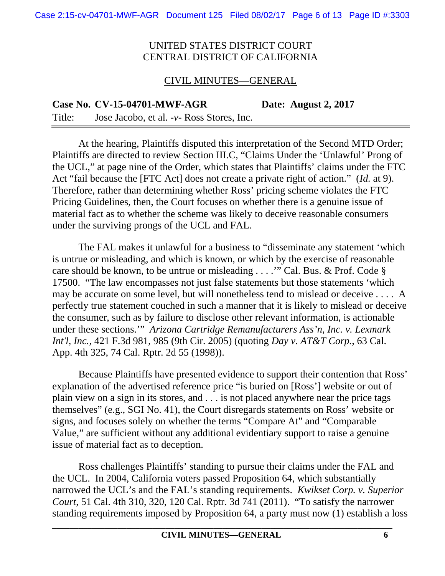# CIVIL MINUTES—GENERAL

**Case No. CV-15-04701-MWF-AGR Date: August 2, 2017** 

Title: Jose Jacobo, et al. -*v*- Ross Stores, Inc.

At the hearing, Plaintiffs disputed this interpretation of the Second MTD Order; Plaintiffs are directed to review Section III.C, "Claims Under the 'Unlawful' Prong of the UCL," at page nine of the Order, which states that Plaintiffs' claims under the FTC Act "fail because the [FTC Act] does not create a private right of action." (*Id.* at 9). Therefore, rather than determining whether Ross' pricing scheme violates the FTC Pricing Guidelines, then, the Court focuses on whether there is a genuine issue of material fact as to whether the scheme was likely to deceive reasonable consumers under the surviving prongs of the UCL and FAL.

The FAL makes it unlawful for a business to "disseminate any statement 'which is untrue or misleading, and which is known, or which by the exercise of reasonable care should be known, to be untrue or misleading . . . .'" Cal. Bus. & Prof. Code § 17500. "The law encompasses not just false statements but those statements 'which may be accurate on some level, but will nonetheless tend to mislead or deceive . . . . A perfectly true statement couched in such a manner that it is likely to mislead or deceive the consumer, such as by failure to disclose other relevant information, is actionable under these sections.'" *Arizona Cartridge Remanufacturers Ass'n, Inc. v. Lexmark Int'l, Inc.*, 421 F.3d 981, 985 (9th Cir. 2005) (quoting *Day v. AT&T Corp.*, 63 Cal. App. 4th 325, 74 Cal. Rptr. 2d 55 (1998)).

Because Plaintiffs have presented evidence to support their contention that Ross' explanation of the advertised reference price "is buried on [Ross'] website or out of plain view on a sign in its stores, and . . . is not placed anywhere near the price tags themselves" (e.g., SGI No. 41), the Court disregards statements on Ross' website or signs, and focuses solely on whether the terms "Compare At" and "Comparable Value," are sufficient without any additional evidentiary support to raise a genuine issue of material fact as to deception.

Ross challenges Plaintiffs' standing to pursue their claims under the FAL and the UCL. In 2004, California voters passed Proposition 64, which substantially narrowed the UCL's and the FAL's standing requirements. *Kwikset Corp. v. Superior Court*, 51 Cal. 4th 310, 320, 120 Cal. Rptr. 3d 741 (2011). "To satisfy the narrower standing requirements imposed by Proposition 64, a party must now (1) establish a loss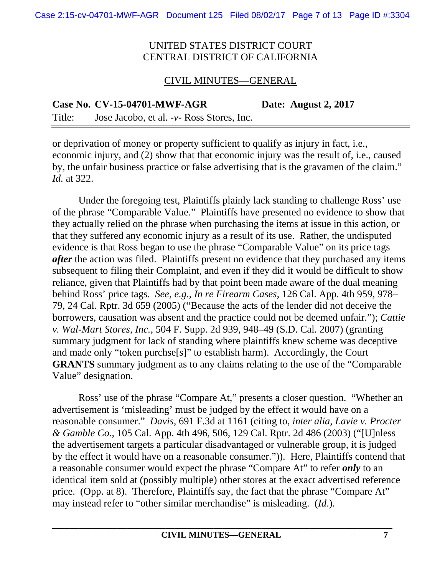#### CIVIL MINUTES—GENERAL

**Case No. CV-15-04701-MWF-AGR Date: August 2, 2017** 

Title: Jose Jacobo, et al. -*v*- Ross Stores, Inc.

or deprivation of money or property sufficient to qualify as injury in fact, i.e., economic injury, and (2) show that that economic injury was the result of, i.e., caused by, the unfair business practice or false advertising that is the gravamen of the claim." *Id.* at 322.

Under the foregoing test, Plaintiffs plainly lack standing to challenge Ross' use of the phrase "Comparable Value." Plaintiffs have presented no evidence to show that they actually relied on the phrase when purchasing the items at issue in this action, or that they suffered any economic injury as a result of its use. Rather, the undisputed evidence is that Ross began to use the phrase "Comparable Value" on its price tags *after* the action was filed. Plaintiffs present no evidence that they purchased any items subsequent to filing their Complaint, and even if they did it would be difficult to show reliance, given that Plaintiffs had by that point been made aware of the dual meaning behind Ross' price tags. *See, e.g.*, *In re Firearm Cases*, 126 Cal. App. 4th 959, 978– 79, 24 Cal. Rptr. 3d 659 (2005) ("Because the acts of the lender did not deceive the borrowers, causation was absent and the practice could not be deemed unfair."); *Cattie v. Wal-Mart Stores, Inc.*, 504 F. Supp. 2d 939, 948–49 (S.D. Cal. 2007) (granting summary judgment for lack of standing where plaintiffs knew scheme was deceptive and made only "token purchse[s]" to establish harm). Accordingly, the Court **GRANTS** summary judgment as to any claims relating to the use of the "Comparable" Value" designation.

Ross' use of the phrase "Compare At," presents a closer question. "Whether an advertisement is 'misleading' must be judged by the effect it would have on a reasonable consumer." *Davis*, 691 F.3d at 1161 (citing to, *inter alia*, *Lavie v. Procter & Gamble Co.*, 105 Cal. App. 4th 496, 506, 129 Cal. Rptr. 2d 486 (2003) ("[U]nless the advertisement targets a particular disadvantaged or vulnerable group, it is judged by the effect it would have on a reasonable consumer.")). Here, Plaintiffs contend that a reasonable consumer would expect the phrase "Compare At" to refer *only* to an identical item sold at (possibly multiple) other stores at the exact advertised reference price. (Opp. at 8). Therefore, Plaintiffs say, the fact that the phrase "Compare At" may instead refer to "other similar merchandise" is misleading. (*Id*.).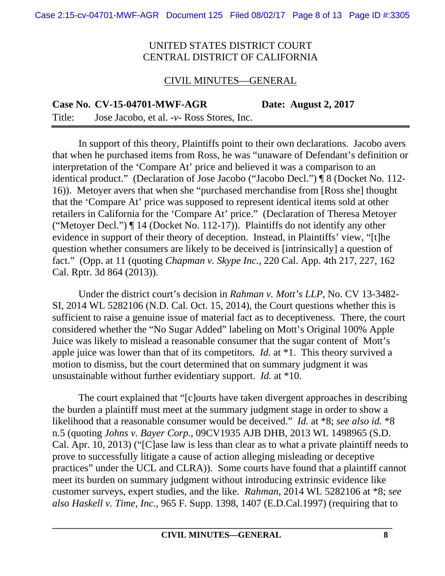#### CIVIL MINUTES—GENERAL

**Case No. CV-15-04701-MWF-AGR Date: August 2, 2017** 

Title: Jose Jacobo, et al. -*v*- Ross Stores, Inc.

In support of this theory, Plaintiffs point to their own declarations. Jacobo avers that when he purchased items from Ross, he was "unaware of Defendant's definition or interpretation of the 'Compare At' price and believed it was a comparison to an identical product." (Declaration of Jose Jacobo ("Jacobo Decl.") ¶ 8 (Docket No. 112- 16)). Metoyer avers that when she "purchased merchandise from [Ross she] thought that the 'Compare At' price was supposed to represent identical items sold at other retailers in California for the 'Compare At' price." (Declaration of Theresa Metoyer ("Metoyer Decl.") ¶ 14 (Docket No. 112-17)). Plaintiffs do not identify any other evidence in support of their theory of deception. Instead, in Plaintiffs' view, "[t]he question whether consumers are likely to be deceived is [intrinsically] a question of fact." (Opp. at 11 (quoting *Chapman v. Skype Inc.*, 220 Cal. App. 4th 217, 227, 162 Cal. Rptr. 3d 864 (2013)).

Under the district court's decision in *Rahman v. Mott's LLP*, No. CV 13-3482- SI, 2014 WL 5282106 (N.D. Cal. Oct. 15, 2014), the Court questions whether this is sufficient to raise a genuine issue of material fact as to deceptiveness. There, the court considered whether the "No Sugar Added" labeling on Mott's Original 100% Apple Juice was likely to mislead a reasonable consumer that the sugar content of Mott's apple juice was lower than that of its competitors. *Id.* at \*1. This theory survived a motion to dismiss, but the court determined that on summary judgment it was unsustainable without further evidentiary support. *Id.* at \*10.

The court explained that "[c]ourts have taken divergent approaches in describing the burden a plaintiff must meet at the summary judgment stage in order to show a likelihood that a reasonable consumer would be deceived." *Id.* at \*8; *see also id.* \*8 n.5 (quoting *Johns v. Bayer Corp.*, 09CV1935 AJB DHB, 2013 WL 1498965 (S.D. Cal. Apr. 10, 2013) ("[C]ase law is less than clear as to what a private plaintiff needs to prove to successfully litigate a cause of action alleging misleading or deceptive practices" under the UCL and CLRA)). Some courts have found that a plaintiff cannot meet its burden on summary judgment without introducing extrinsic evidence like customer surveys, expert studies, and the like. *Rahman*, 2014 WL 5282106 at \*8; *see also Haskell v. Time, Inc.*, 965 F. Supp. 1398, 1407 (E.D.Cal.1997) (requiring that to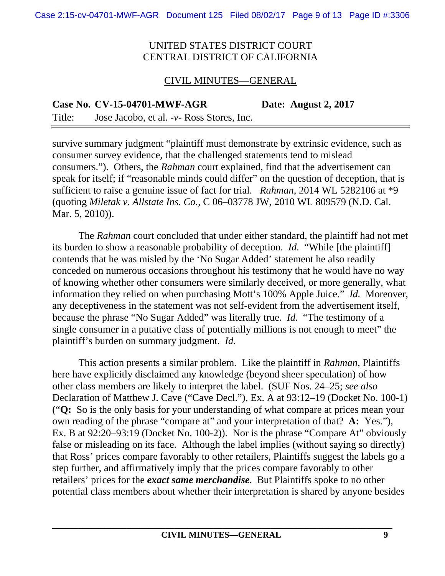# CIVIL MINUTES—GENERAL

**Case No. CV-15-04701-MWF-AGR Date: August 2, 2017** 

Title: Jose Jacobo, et al. -*v*- Ross Stores, Inc.

survive summary judgment "plaintiff must demonstrate by extrinsic evidence, such as consumer survey evidence, that the challenged statements tend to mislead consumers."). Others, the *Rahman* court explained, find that the advertisement can speak for itself; if "reasonable minds could differ" on the question of deception, that is sufficient to raise a genuine issue of fact for trial. *Rahman*, 2014 WL 5282106 at \*9 (quoting *Miletak v. Allstate Ins. Co.*, C 06–03778 JW, 2010 WL 809579 (N.D. Cal. Mar. 5, 2010)).

The *Rahman* court concluded that under either standard, the plaintiff had not met its burden to show a reasonable probability of deception. *Id.* "While [the plaintiff] contends that he was misled by the 'No Sugar Added' statement he also readily conceded on numerous occasions throughout his testimony that he would have no way of knowing whether other consumers were similarly deceived, or more generally, what information they relied on when purchasing Mott's 100% Apple Juice." *Id.* Moreover, any deceptiveness in the statement was not self-evident from the advertisement itself, because the phrase "No Sugar Added" was literally true. *Id.* "The testimony of a single consumer in a putative class of potentially millions is not enough to meet" the plaintiff's burden on summary judgment. *Id.*

This action presents a similar problem. Like the plaintiff in *Rahman*, Plaintiffs here have explicitly disclaimed any knowledge (beyond sheer speculation) of how other class members are likely to interpret the label. (SUF Nos. 24–25; *see also* Declaration of Matthew J. Cave ("Cave Decl."), Ex. A at 93:12–19 (Docket No. 100-1) ("**Q:** So is the only basis for your understanding of what compare at prices mean your own reading of the phrase "compare at" and your interpretation of that? **A:** Yes."), Ex. B at 92:20–93:19 (Docket No. 100-2)). Nor is the phrase "Compare At" obviously false or misleading on its face. Although the label implies (without saying so directly) that Ross' prices compare favorably to other retailers, Plaintiffs suggest the labels go a step further, and affirmatively imply that the prices compare favorably to other retailers' prices for the *exact same merchandise*. But Plaintiffs spoke to no other potential class members about whether their interpretation is shared by anyone besides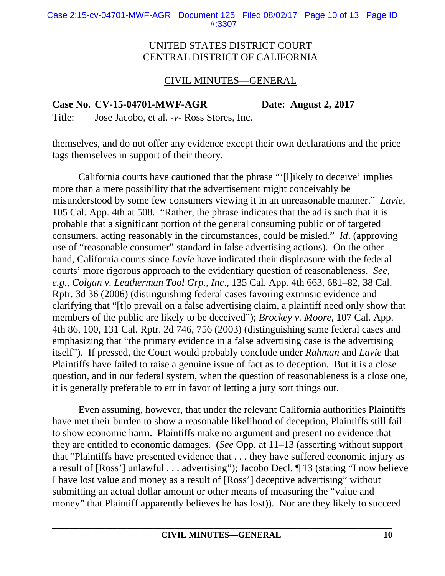### CIVIL MINUTES—GENERAL

**Case No. CV-15-04701-MWF-AGR Date: August 2, 2017**  Title: Jose Jacobo, et al. -*v*- Ross Stores, Inc.

themselves, and do not offer any evidence except their own declarations and the price tags themselves in support of their theory.

California courts have cautioned that the phrase "'[l]ikely to deceive' implies more than a mere possibility that the advertisement might conceivably be misunderstood by some few consumers viewing it in an unreasonable manner." *Lavie*, 105 Cal. App. 4th at 508. "Rather, the phrase indicates that the ad is such that it is probable that a significant portion of the general consuming public or of targeted consumers, acting reasonably in the circumstances, could be misled." *Id*. (approving use of "reasonable consumer" standard in false advertising actions). On the other hand, California courts since *Lavie* have indicated their displeasure with the federal courts' more rigorous approach to the evidentiary question of reasonableness. *See, e.g.*, *Colgan v. Leatherman Tool Grp., Inc*., 135 Cal. App. 4th 663, 681–82, 38 Cal. Rptr. 3d 36 (2006) (distinguishing federal cases favoring extrinsic evidence and clarifying that "[t]o prevail on a false advertising claim, a plaintiff need only show that members of the public are likely to be deceived"); *Brockey v. Moore*, 107 Cal. App. 4th 86, 100, 131 Cal. Rptr. 2d 746, 756 (2003) (distinguishing same federal cases and emphasizing that "the primary evidence in a false advertising case is the advertising itself"). If pressed, the Court would probably conclude under *Rahman* and *Lavie* that Plaintiffs have failed to raise a genuine issue of fact as to deception. But it is a close question, and in our federal system, when the question of reasonableness is a close one, it is generally preferable to err in favor of letting a jury sort things out.

Even assuming, however, that under the relevant California authorities Plaintiffs have met their burden to show a reasonable likelihood of deception, Plaintiffs still fail to show economic harm. Plaintiffs make no argument and present no evidence that they are entitled to economic damages. (*See* Opp. at 11–13 (asserting without support that "Plaintiffs have presented evidence that . . . they have suffered economic injury as a result of [Ross'] unlawful . . . advertising"); Jacobo Decl. ¶ 13 (stating "I now believe I have lost value and money as a result of [Ross'] deceptive advertising" without submitting an actual dollar amount or other means of measuring the "value and money" that Plaintiff apparently believes he has lost)). Nor are they likely to succeed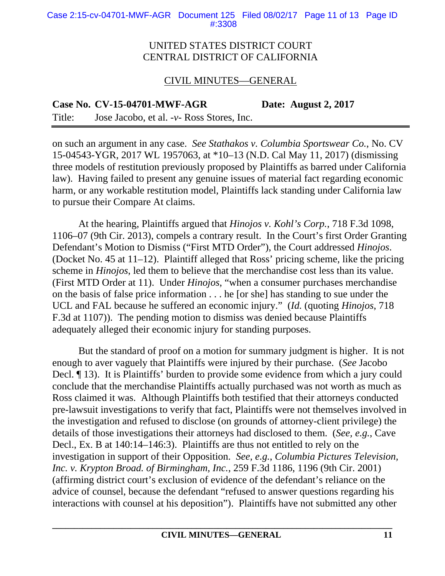Case 2:15-cv-04701-MWF-AGR Document 125 Filed 08/02/17 Page 11 of 13 Page ID #:3308

#### UNITED STATES DISTRICT COURT CENTRAL DISTRICT OF CALIFORNIA

#### CIVIL MINUTES—GENERAL

**Case No. CV-15-04701-MWF-AGR Date: August 2, 2017** 

Title: Jose Jacobo, et al. -*v*- Ross Stores, Inc.

on such an argument in any case. *See Stathakos v. Columbia Sportswear Co.*, No. CV 15-04543-YGR, 2017 WL 1957063, at \*10–13 (N.D. Cal May 11, 2017) (dismissing three models of restitution previously proposed by Plaintiffs as barred under California law). Having failed to present any genuine issues of material fact regarding economic harm, or any workable restitution model, Plaintiffs lack standing under California law to pursue their Compare At claims.

At the hearing, Plaintiffs argued that *Hinojos v. Kohl's Corp.*, 718 F.3d 1098, 1106–07 (9th Cir. 2013), compels a contrary result. In the Court's first Order Granting Defendant's Motion to Dismiss ("First MTD Order"), the Court addressed *Hinojos*. (Docket No. 45 at 11–12). Plaintiff alleged that Ross' pricing scheme, like the pricing scheme in *Hinojos*, led them to believe that the merchandise cost less than its value. (First MTD Order at 11). Under *Hinojos*, "when a consumer purchases merchandise on the basis of false price information . . . he [or she] has standing to sue under the UCL and FAL because he suffered an economic injury." (*Id.* (quoting *Hinojos*, 718 F.3d at 1107)). The pending motion to dismiss was denied because Plaintiffs adequately alleged their economic injury for standing purposes.

But the standard of proof on a motion for summary judgment is higher. It is not enough to aver vaguely that Plaintiffs were injured by their purchase. (*See* Jacobo Decl. ¶ 13). It is Plaintiffs' burden to provide some evidence from which a jury could conclude that the merchandise Plaintiffs actually purchased was not worth as much as Ross claimed it was. Although Plaintiffs both testified that their attorneys conducted pre-lawsuit investigations to verify that fact, Plaintiffs were not themselves involved in the investigation and refused to disclose (on grounds of attorney-client privilege) the details of those investigations their attorneys had disclosed to them. (*See, e.g.*, Cave Decl., Ex. B at 140:14–146:3). Plaintiffs are thus not entitled to rely on the investigation in support of their Opposition. *See, e.g.*, *Columbia Pictures Television, Inc. v. Krypton Broad. of Birmingham, Inc.*, 259 F.3d 1186, 1196 (9th Cir. 2001) (affirming district court's exclusion of evidence of the defendant's reliance on the advice of counsel, because the defendant "refused to answer questions regarding his interactions with counsel at his deposition"). Plaintiffs have not submitted any other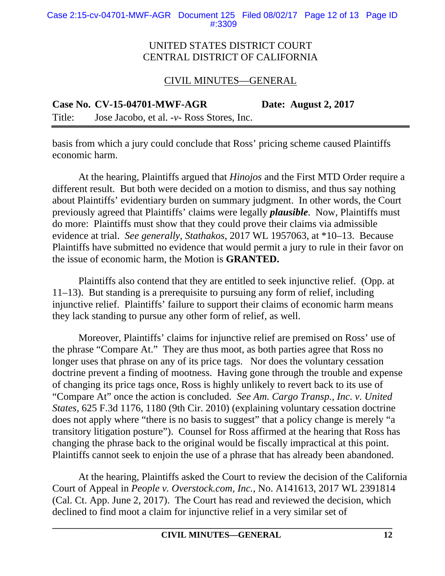# CIVIL MINUTES—GENERAL

**Case No. CV-15-04701-MWF-AGR Date: August 2, 2017** 

Title: Jose Jacobo, et al. -*v*- Ross Stores, Inc.

basis from which a jury could conclude that Ross' pricing scheme caused Plaintiffs economic harm.

At the hearing, Plaintiffs argued that *Hinojos* and the First MTD Order require a different result. But both were decided on a motion to dismiss, and thus say nothing about Plaintiffs' evidentiary burden on summary judgment. In other words, the Court previously agreed that Plaintiffs' claims were legally *plausible*. Now, Plaintiffs must do more: Plaintiffs must show that they could prove their claims via admissible evidence at trial. *See generally*, *Stathakos*, 2017 WL 1957063, at \*10–13. Because Plaintiffs have submitted no evidence that would permit a jury to rule in their favor on the issue of economic harm, the Motion is **GRANTED.** 

Plaintiffs also contend that they are entitled to seek injunctive relief. (Opp. at 11–13). But standing is a prerequisite to pursuing any form of relief, including injunctive relief. Plaintiffs' failure to support their claims of economic harm means they lack standing to pursue any other form of relief, as well.

Moreover, Plaintiffs' claims for injunctive relief are premised on Ross' use of the phrase "Compare At." They are thus moot, as both parties agree that Ross no longer uses that phrase on any of its price tags. Nor does the voluntary cessation doctrine prevent a finding of mootness. Having gone through the trouble and expense of changing its price tags once, Ross is highly unlikely to revert back to its use of "Compare At" once the action is concluded. *See Am. Cargo Transp., Inc. v. United States*, 625 F.3d 1176, 1180 (9th Cir. 2010) (explaining voluntary cessation doctrine does not apply where "there is no basis to suggest" that a policy change is merely "a transitory litigation posture"). Counsel for Ross affirmed at the hearing that Ross has changing the phrase back to the original would be fiscally impractical at this point. Plaintiffs cannot seek to enjoin the use of a phrase that has already been abandoned.

At the hearing, Plaintiffs asked the Court to review the decision of the California Court of Appeal in *People v. Overstock.com, Inc.*, No. A141613, 2017 WL 2391814 (Cal. Ct. App. June 2, 2017). The Court has read and reviewed the decision, which declined to find moot a claim for injunctive relief in a very similar set of